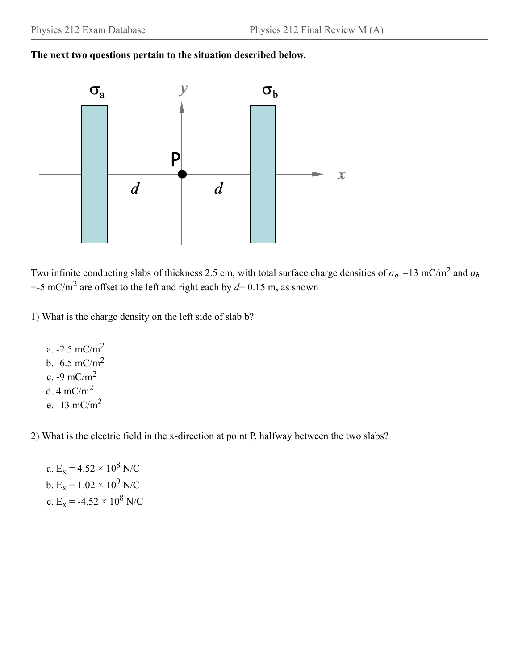

Two infinite conducting slabs of thickness 2.5 cm, with total surface charge densities of  $\sigma_a$  =13 mC/m<sup>2</sup> and  $\sigma_b$  $=$  5 mC/m<sup>2</sup> are offset to the left and right each by  $d$  = 0.15 m, as shown

1) What is the charge density on the left side of slab b?

a. -2.5 mC/m<sup>2</sup> b.  $-6.5$  mC/m<sup>2</sup> c.  $-9$  mC/m<sup>2</sup> d. 4 mC/m<sup>2</sup> e. -13 mC/m<sup>2</sup>

2) What is the electric field in the x-direction at point P, halfway between the two slabs?

a.  $E_x = 4.52 \times 10^8$  N/C b.  $E_x = 1.02 \times 10^9$  N/C c.  $E_x = -4.52 \times 10^8$  N/C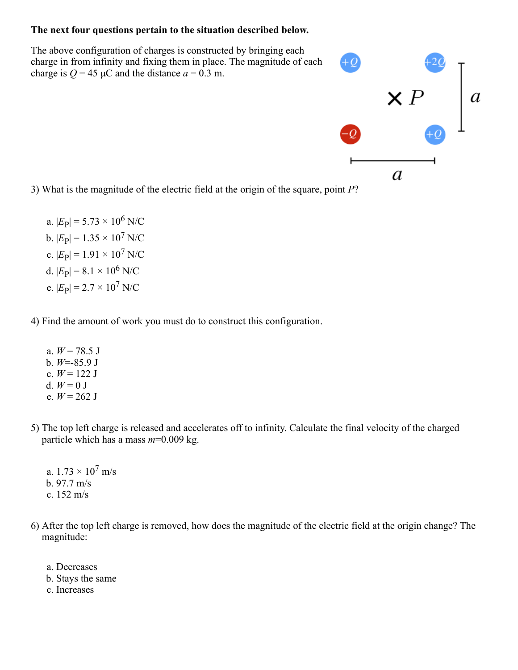The above configuration of charges is constructed by bringing each  $\begin{array}{c}\n\mathbf{X} P \\
\hline\n\end{array}\n\begin{bmatrix}\n\mathbf{a} \\
\mathbf{b} \\
\mathbf{c}\n\end{bmatrix}$ charge in from infinity and fixing them in place. The magnitude of each charge is  $Q = 45 \mu C$  and the distance  $a = 0.3$  m.  $\mathfrak a$ 

3) What is the magnitude of the electric field at the origin of the square, point *P*?

a.  $|E_{\rm P}| = 5.73 \times 10^6$  N/C b.  $|E_{\text{P}}| = 1.35 \times 10^7$  N/C c.  $|E_{\text{P}}| = 1.91 \times 10^7$  N/C d.  $|E_{\text{P}}| = 8.1 \times 10^6 \text{ N/C}$ e.  $|E_{\text{P}}| = 2.7 \times 10^7 \text{ N/C}$ 

4) Find the amount of work you must do to construct this configuration.

- a.  $W = 78.5$  J b. *W*=-85.9 J c.  $W = 122$  J d.  $W = 0$  J e.  $W = 262$  J
- 5) The top left charge is released and accelerates off to infinity. Calculate the final velocity of the charged particle which has a mass *m*=0.009 kg.
	- a.  $1.73 \times 10^7$  m/s b. 97.7 m/s c. 152 m/s
- 6) After the top left charge is removed, how does the magnitude of the electric field at the origin change? The magnitude:
	- a. Decreases
	- b. Stays the same
	- c. Increases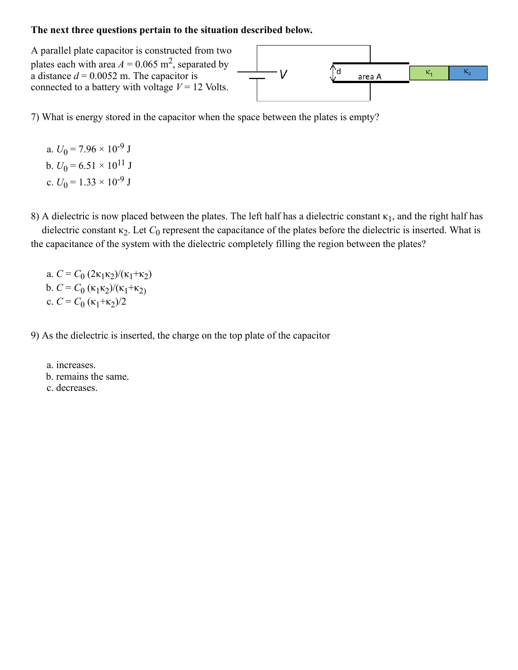

7) What is energy stored in the capacitor when the space between the plates is empty?

a.  $U_0 = 7.96 \times 10^{-9}$  J b.  $U_0 = 6.51 \times 10^{11}$  J c.  $U_0 = 1.33 \times 10^{-9}$  J

8) A dielectric is now placed between the plates. The left half has a dielectric constant  $\kappa_1$ , and the right half has dielectric constant  $\kappa_2$ . Let  $C_0$  represent the capacitance of the plates before the dielectric is inserted. What is the capacitance of the system with the dielectric completely filling the region between the plates?

a.  $C = C_0 (2\kappa_1 \kappa_2) / (\kappa_1 + \kappa_2)$ b.  $C = C_0 (\kappa_1 \kappa_2) / (\kappa_1 + \kappa_2)$ c.  $C = C_0 (\kappa_1 + \kappa_2)/2$ 

9) As the dielectric is inserted, the charge on the top plate of the capacitor

a. increases. b. remains the same. c. decreases.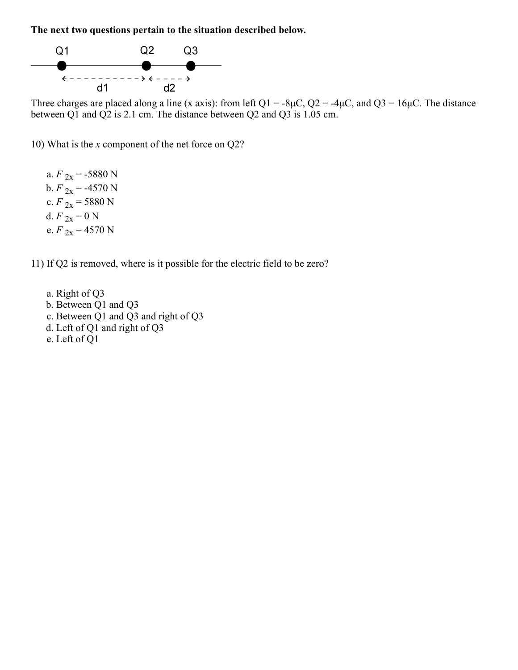

Three charges are placed along a line (x axis): from left  $Q1 = -8\mu$ C,  $Q2 = -4\mu$ C, and  $Q3 = 16\mu$ C. The distance between Q1 and Q2 is 2.1 cm. The distance between Q2 and Q3 is 1.05 cm.

10) What is the *x* component of the net force on Q2?

a.  $F_{2x} = -5880 \text{ N}$ b.  $F_{2x}$  = -4570 N c.  $F_{2x}$  = 5880 N d.  $F_{2x} = 0 N$ e.  $F_{2x} = 4570$  N

11) If Q2 is removed, where is it possible for the electric field to be zero?

a. Right of Q3 b. Between Q1 and Q3 c. Between Q1 and Q3 and right of Q3 d. Left of Q1 and right of Q3 e. Left of Q1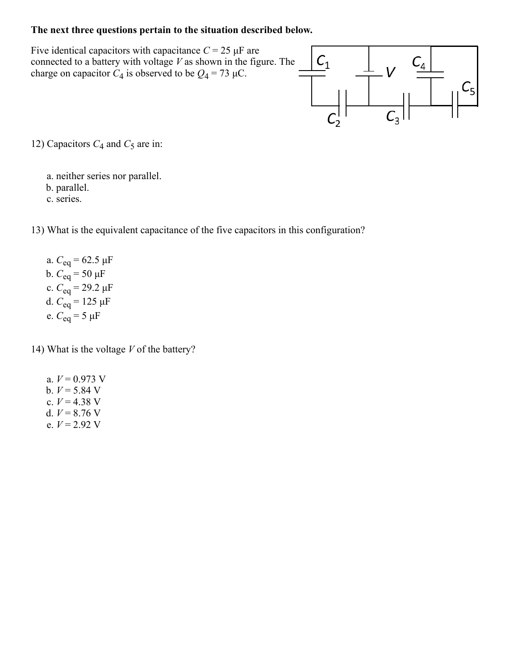

12) Capacitors  $C_4$  and  $C_5$  are in:

a. neither series nor parallel.

b. parallel.

c. series.

13) What is the equivalent capacitance of the five capacitors in this configuration?

a.  $C_{eq} = 62.5 \,\mu\text{F}$ b.  $C_{eq} = 50 \mu F$ c.  $C_{eq} = 29.2 \mu F$ d.  $C_{eq} = 125 \,\mu\text{F}$ e.  $C_{eq} = 5 \mu F$ 

14) What is the voltage *V* of the battery?

a.  $V = 0.973$  V b.  $V = 5.84$  V c.  $V = 4.38$  V d.  $V = 8.76$  V e.  $V = 2.92$  V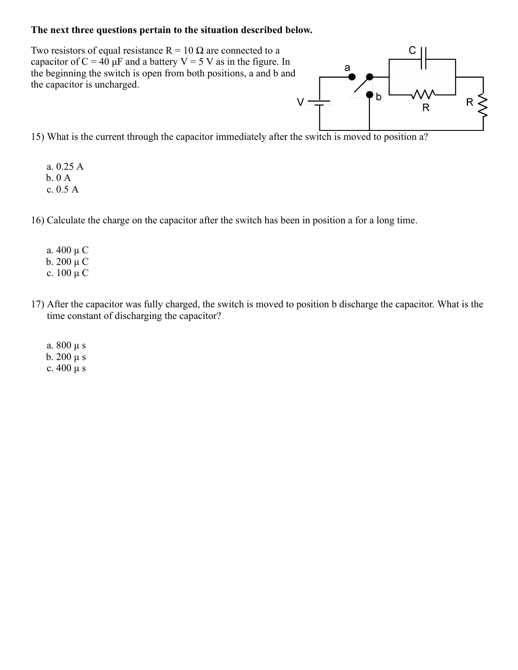Two resistors of equal resistance  $R = 10 \Omega$  are connected to a capacitor of  $C = 40 \mu F$  and a battery  $V = 5 V$  as in the figure. In the beginning the switch is open from both positions, a and b and the capacitor is uncharged.



15) What is the current through the capacitor immediately after the switch is moved to position a?

a. 0.25 A b. 0 A c. 0.5 A

16) Calculate the charge on the capacitor after the switch has been in position a for a long time.

- a. 400 μ C b. 200 μ C c. 100 μ C
- 17) After the capacitor was fully charged, the switch is moved to position b discharge the capacitor. What is the time constant of discharging the capacitor?
	- a. 800 μ s b. 200 μ s c. 400 μ s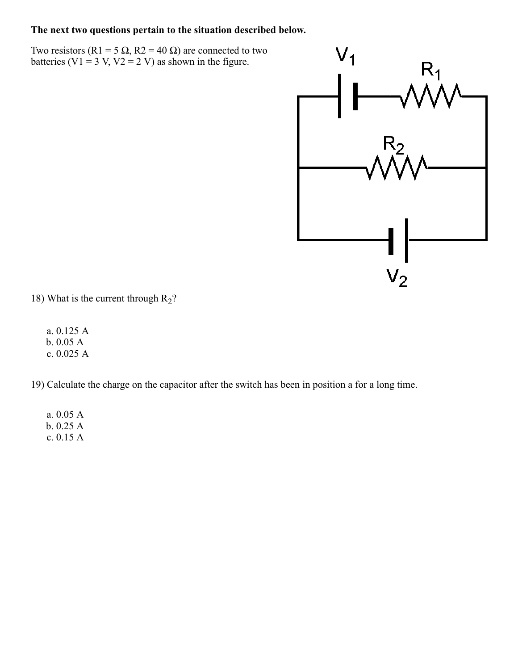Two resistors (R1 = 5  $\Omega$ , R2 = 40  $\Omega$ ) are connected to two batteries (V1 = 3 V, V2 = 2 V) as shown in the figure.



18) What is the current through  $R_2$ ?

a. 0.125 A b. 0.05 A c. 0.025 A

19) Calculate the charge on the capacitor after the switch has been in position a for a long time.

a. 0.05 A b. 0.25 A c. 0.15 A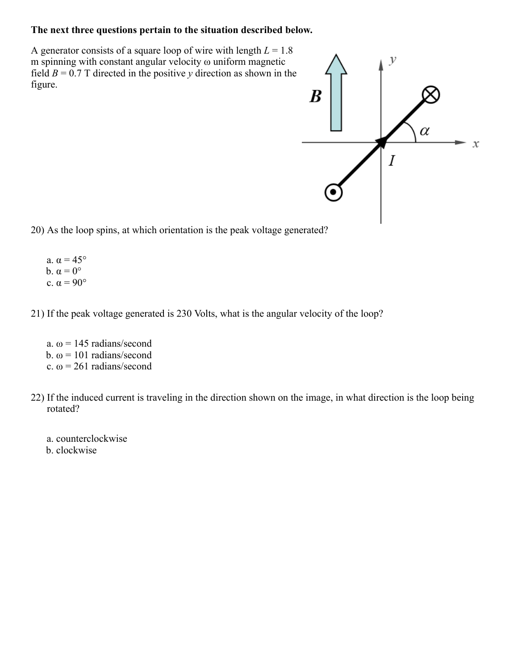A generator consists of a square loop of wire with length *L* = 1.8 m spinning with constant angular velocity ω uniform magnetic field  $B = 0.7$  T directed in the positive *y* direction as shown in the figure.



20) As the loop spins, at which orientation is the peak voltage generated?

a.  $\alpha = 45^{\circ}$ b.  $\alpha = 0^{\circ}$ c.  $\alpha = 90^{\circ}$ 

21) If the peak voltage generated is 230 Volts, what is the angular velocity of the loop?

- a.  $\omega$  = 145 radians/second b.  $\omega$  = 101 radians/second c.  $\omega$  = 261 radians/second
- 22) If the induced current is traveling in the direction shown on the image, in what direction is the loop being rotated?

a. counterclockwise b. clockwise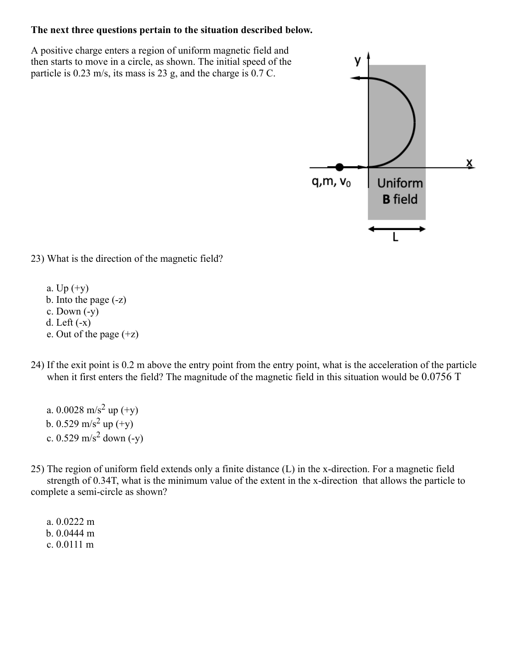A positive charge enters a region of uniform magnetic field and then starts to move in a circle, as shown. The initial speed of the particle is 0.23 m/s, its mass is 23 g, and the charge is 0.7 C.



23) What is the direction of the magnetic field?

- a. Up  $(+y)$ b. Into the page (-z) c. Down  $(-y)$ d. Left  $(-x)$ e. Out of the page (+z)
- 24) If the exit point is 0.2 m above the entry point from the entry point, what is the acceleration of the particle when it first enters the field? The magnitude of the magnetic field in this situation would be 0.0756 T
	- a.  $0.0028 \text{ m/s}^2$  up (+y) b. 0.529 m/s<sup>2</sup> up  $(+y)$ c.  $0.529 \text{ m/s}^2$  down (-y)

25) The region of uniform field extends only a finite distance (L) in the x-direction. For a magnetic field strength of 0.34T, what is the minimum value of the extent in the x-direction that allows the particle to complete a semi-circle as shown?

a. 0.0222 m b. 0.0444 m c. 0.0111 m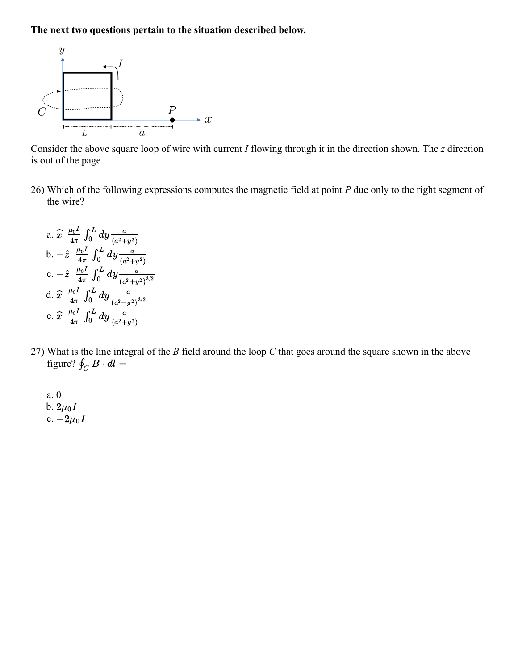

Consider the above square loop of wire with current *I* flowing through it in the direction shown. The *z* direction is out of the page.

26) Which of the following expressions computes the magnetic field at point *P* due only to the right segment of the wire?

a. 
$$
\hat{x}
$$
  $\frac{\mu_0 I}{4\pi} \int_0^L dy \frac{a}{(a^2 + y^2)}$   
\nb.  $-\hat{z}$   $\frac{\mu_0 I}{4\pi} \int_0^L dy \frac{a}{(a^2 + y^2)}$   
\nc.  $-\hat{z}$   $\frac{\mu_0 I}{4\pi} \int_0^L dy \frac{a}{(a^2 + y^2)^{3/2}}$   
\nd.  $\hat{x}$   $\frac{\mu_0 I}{4\pi} \int_0^L dy \frac{a}{(a^2 + y^2)^{3/2}}$   
\ne.  $\hat{x}$   $\frac{\mu_0 I}{4\pi} \int_0^L dy \frac{a}{(a^2 + y^2)}$ 

27) What is the line integral of the *B* field around the loop *C* that goes around the square shown in the above figure?  $\oint_C B \cdot dl =$ 

a. 0 b.  $2\mu_0 I$ c.  $-2\mu_0 I$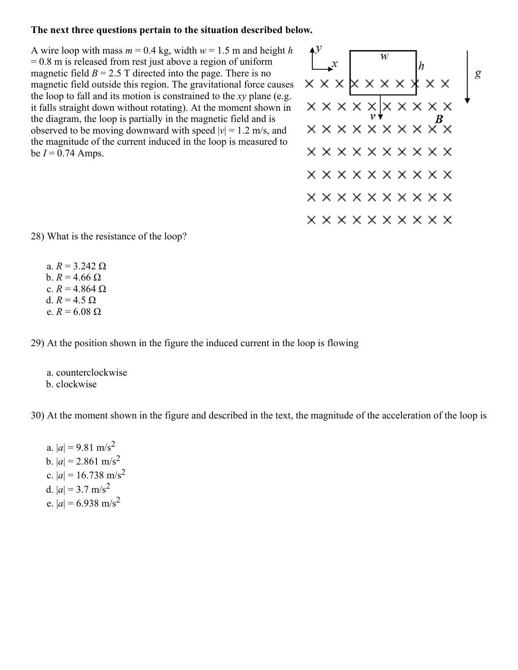A wire loop with mass  $m = 0.4$  kg, width  $w = 1.5$  m and height *h*  $= 0.8$  m is released from rest just above a region of uniform magnetic field  $B = 2.5$  T directed into the page. There is no magnetic field outside this region. The gravitational force causes the loop to fall and its motion is constrained to the *xy* plane (e.g. it falls straight down without rotating). At the moment shown in the diagram, the loop is partially in the magnetic field and is observed to be moving downward with speed  $|v| = 1.2$  m/s, and the magnitude of the current induced in the loop is measured to be  $I = 0.74$  Amps.

28) What is the resistance of the loop?

a.  $R = 3.242$  Ω **b**. *R* = 4.66 Ω c.  $R = 4.864$  Ω d. *R* = 4.5 Ω e. *R* = 6.08 Ω

29) At the position shown in the figure the induced current in the loop is flowing

a. counterclockwise b. clockwise

30) At the moment shown in the figure and described in the text, the magnitude of the acceleration of the loop is

a.  $|a| = 9.81$  m/s<sup>2</sup> b.  $|a| = 2.861$  m/s<sup>2</sup> c.  $|a| = 16.738$  m/s<sup>2</sup> d.  $|a| = 3.7 \text{ m/s}^2$ e.  $|a| = 6.938$  m/s<sup>2</sup>

 $\begin{array}{c}\n\begin{array}{c}\n\sqrt{x} \\
x \times x \\
x \times x \times x \times x \\
x \times x \times x \\
x \times x \times x \times x \\
x \times x \times x \times x \times x\n\end{array}\n\end{array}$  $X$   $X$   $X$   $X$   $X$   $X$   $X$   $X$   $X$  $X$   $X$   $X$   $X$   $X$   $X$   $X$   $X$   $X$  $X$   $X$   $X$   $X$   $X$   $X$   $X$   $X$   $X$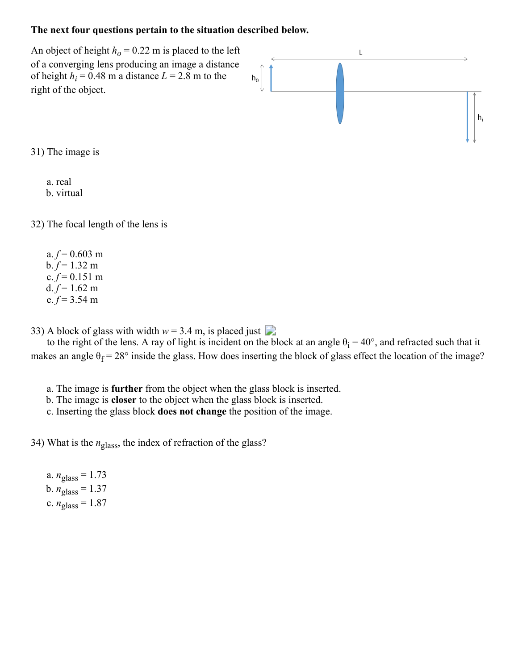An object of height  $h<sub>o</sub> = 0.22$  m is placed to the left of a converging lens producing an image a distance of height  $h_i = 0.48$  m a distance  $L = 2.8$  m to the  $h_0$ right of the object.



31) The image is

a. real b. virtual

32) The focal length of the lens is

a.  $f = 0.603$  m  $b.f = 1.32 \text{ m}$ c.  $f = 0.151$  m d.  $f = 1.62$  m e.  $f = 3.54$  m

33) A block of glass with width  $w = 3.4$  m, is placed just

to the right of the lens. A ray of light is incident on the block at an angle  $\theta_i = 40^\circ$ , and refracted such that it makes an angle  $\theta_f = 28^\circ$  inside the glass. How does inserting the block of glass effect the location of the image?

a. The image is **further** from the object when the glass block is inserted.

b. The image is **closer** to the object when the glass block is inserted.

c. Inserting the glass block **does not change** the position of the image.

34) What is the *n*glass , the index of refraction of the glass?

a.  $n_{\text{glass}} = 1.73$  $b. n_{\text{glass}} = 1.37$ c.  $n_{\text{glass}} = 1.87$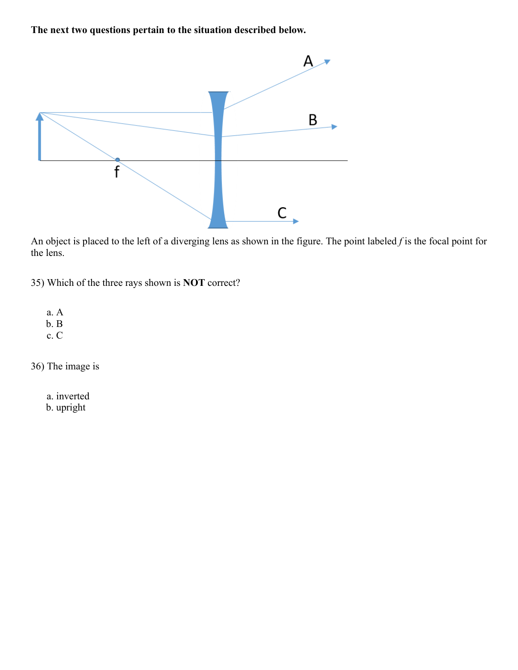

An object is placed to the left of a diverging lens as shown in the figure. The point labeled *f* is the focal point for the lens.

35) Which of the three rays shown is **NOT** correct?

a. A b. B c. C

36) The image is

a. inverted b. upright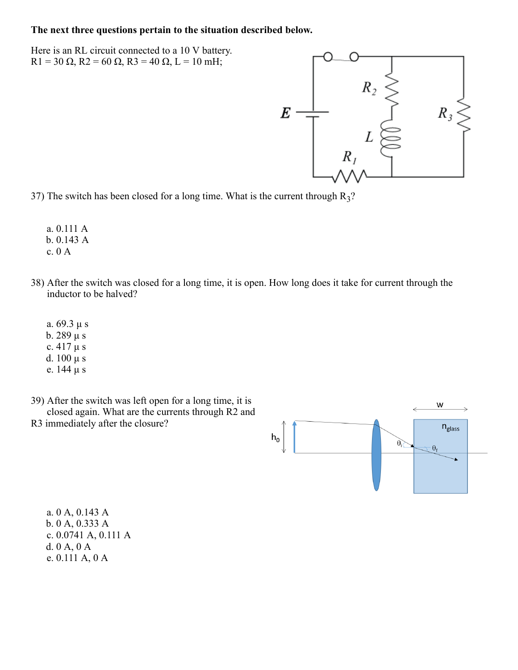Here is an RL circuit connected to a 10 V battery.  $R1 = 30 \Omega$ ,  $R2 = 60 \Omega$ ,  $R3 = 40 \Omega$ ,  $L = 10 \text{ mH}$ ;



37) The switch has been closed for a long time. What is the current through  $R_3$ ?

- a. 0.111 A b. 0.143 A c. 0 A
- 38) After the switch was closed for a long time, it is open. How long does it take for current through the inductor to be halved?
	- a. 69.3 μ s b. 289 μ s c. 417 μ s d. 100 μ s e. 144 μ s





a. 0 A, 0.143 A b. 0 A, 0.333 A c. 0.0741 A, 0.111 A d. 0 A, 0 A e. 0.111 A, 0 A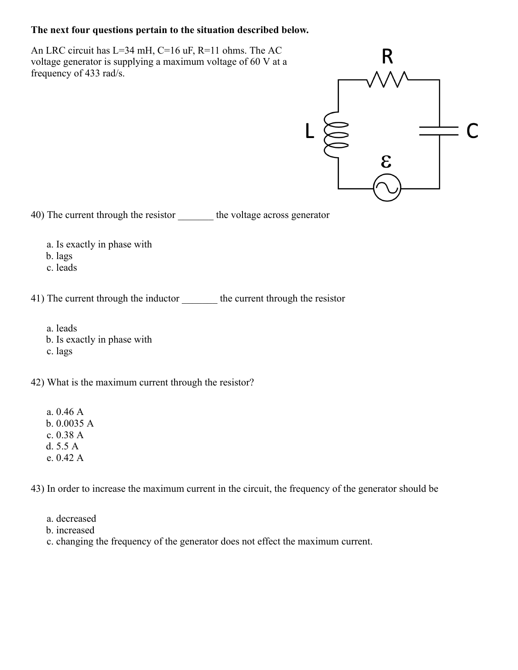An LRC circuit has L=34 mH, C=16 uF, R=11 ohms. The AC voltage generator is supplying a maximum voltage of 60 V at a frequency of 433 rad/s.



40) The current through the resistor \_\_\_\_\_\_\_ the voltage across generator

- a. Is exactly in phase with
- b. lags
- c. leads

41) The current through the inductor \_\_\_\_\_\_\_ the current through the resistor

- a. leads
- b. Is exactly in phase with
- c. lags

42) What is the maximum current through the resistor?

a. 0.46 A b. 0.0035 A c. 0.38 A d. 5.5 A e. 0.42 A

43) In order to increase the maximum current in the circuit, the frequency of the generator should be

- a. decreased
- b. increased

c. changing the frequency of the generator does not effect the maximum current.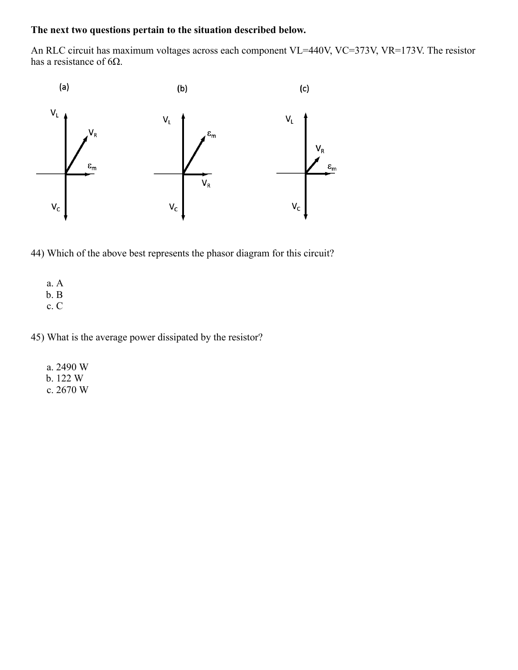An RLC circuit has maximum voltages across each component VL=440V, VC=373V, VR=173V. The resistor has a resistance of 6 $\Omega$ .



44) Which of the above best represents the phasor diagram for this circuit?

a. A b. B c. C

45) What is the average power dissipated by the resistor?

a. 2490 W b. 122 W c. 2670 W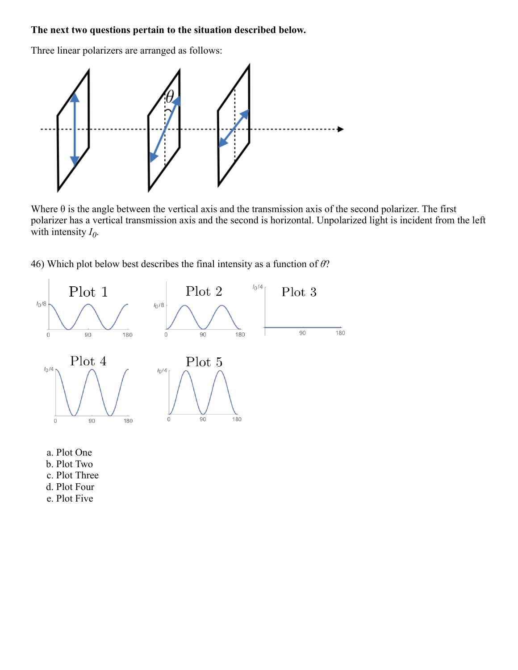Three linear polarizers are arranged as follows:



Where  $\theta$  is the angle between the vertical axis and the transmission axis of the second polarizer. The first polarizer has a vertical transmission axis and the second is horizontal. Unpolarized light is incident from the left with intensity *I<sup>0</sup>* .

46) Which plot below best describes the final intensity as a function of *θ*?



- a. Plot One
- b. Plot Two
- c. Plot Three
- d. Plot Four
- e. Plot Five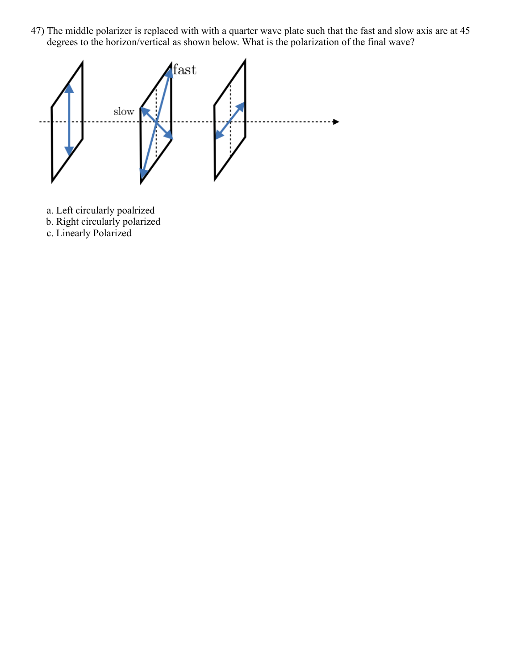47) The middle polarizer is replaced with with a quarter wave plate such that the fast and slow axis are at 45 degrees to the horizon/vertical as shown below. What is the polarization of the final wave?



- a. Left circularly poalrized
- b. Right circularly polarized
- c. Linearly Polarized